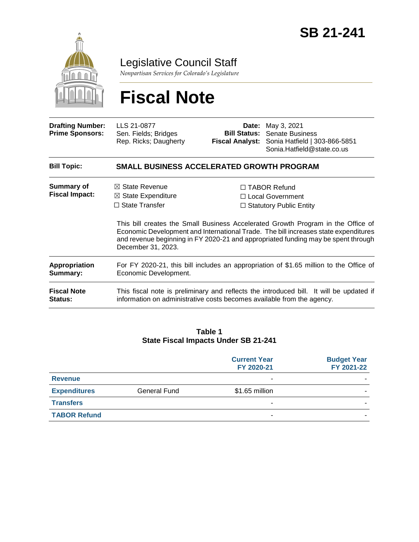

Legislative Council Staff

*Nonpartisan Services for Colorado's Legislature*

# **Fiscal Note**

| <b>Drafting Number:</b><br><b>Prime Sponsors:</b> | LLS 21-0877<br>Sen. Fields; Bridges<br>Rep. Ricks; Daugherty                                                                                                      | Date:<br><b>Bill Status:</b><br><b>Fiscal Analyst:</b> | May 3, 2021<br><b>Senate Business</b><br>Sonia Hatfield   303-866-5851<br>Sonia.Hatfield@state.co.us                                                                                                                                                                                                                                        |  |
|---------------------------------------------------|-------------------------------------------------------------------------------------------------------------------------------------------------------------------|--------------------------------------------------------|---------------------------------------------------------------------------------------------------------------------------------------------------------------------------------------------------------------------------------------------------------------------------------------------------------------------------------------------|--|
| <b>Bill Topic:</b>                                | SMALL BUSINESS ACCELERATED GROWTH PROGRAM                                                                                                                         |                                                        |                                                                                                                                                                                                                                                                                                                                             |  |
| <b>Summary of</b><br><b>Fiscal Impact:</b>        | $\boxtimes$ State Revenue<br>$\boxtimes$ State Expenditure<br>$\Box$ State Transfer<br>December 31, 2023.                                                         |                                                        | $\Box$ TABOR Refund<br>□ Local Government<br>$\Box$ Statutory Public Entity<br>This bill creates the Small Business Accelerated Growth Program in the Office of<br>Economic Development and International Trade. The bill increases state expenditures<br>and revenue beginning in FY 2020-21 and appropriated funding may be spent through |  |
| <b>Appropriation</b><br>Summary:                  | For FY 2020-21, this bill includes an appropriation of \$1.65 million to the Office of<br>Economic Development.                                                   |                                                        |                                                                                                                                                                                                                                                                                                                                             |  |
| <b>Fiscal Note</b><br><b>Status:</b>              | This fiscal note is preliminary and reflects the introduced bill. It will be updated if<br>information on administrative costs becomes available from the agency. |                                                        |                                                                                                                                                                                                                                                                                                                                             |  |

#### **Table 1 State Fiscal Impacts Under SB 21-241**

|                     |              | <b>Current Year</b><br>FY 2020-21 | <b>Budget Year</b><br>FY 2021-22 |
|---------------------|--------------|-----------------------------------|----------------------------------|
| <b>Revenue</b>      |              |                                   |                                  |
| <b>Expenditures</b> | General Fund | \$1.65 million                    |                                  |
| <b>Transfers</b>    |              |                                   |                                  |
| <b>TABOR Refund</b> |              |                                   |                                  |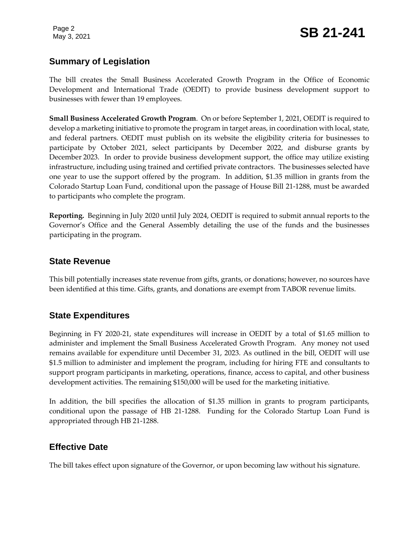# **Summary of Legislation**

The bill creates the Small Business Accelerated Growth Program in the Office of Economic Development and International Trade (OEDIT) to provide business development support to businesses with fewer than 19 employees.

**Small Business Accelerated Growth Program**. On or before September 1, 2021, OEDIT is required to develop a marketing initiative to promote the program in target areas, in coordination with local, state, and federal partners. OEDIT must publish on its website the eligibility criteria for businesses to participate by October 2021, select participants by December 2022, and disburse grants by December 2023. In order to provide business development support, the office may utilize existing infrastructure, including using trained and certified private contractors. The businesses selected have one year to use the support offered by the program. In addition, \$1.35 million in grants from the Colorado Startup Loan Fund, conditional upon the passage of House Bill 21-1288, must be awarded to participants who complete the program.

**Reporting.** Beginning in July 2020 until July 2024, OEDIT is required to submit annual reports to the Governor's Office and the General Assembly detailing the use of the funds and the businesses participating in the program.

#### **State Revenue**

This bill potentially increases state revenue from gifts, grants, or donations; however, no sources have been identified at this time. Gifts, grants, and donations are exempt from TABOR revenue limits.

#### **State Expenditures**

Beginning in FY 2020-21, state expenditures will increase in OEDIT by a total of \$1.65 million to administer and implement the Small Business Accelerated Growth Program. Any money not used remains available for expenditure until December 31, 2023. As outlined in the bill, OEDIT will use \$1.5 million to administer and implement the program, including for hiring FTE and consultants to support program participants in marketing, operations, finance, access to capital, and other business development activities. The remaining \$150,000 will be used for the marketing initiative.

In addition, the bill specifies the allocation of \$1.35 million in grants to program participants, conditional upon the passage of HB 21-1288. Funding for the Colorado Startup Loan Fund is appropriated through HB 21-1288.

#### **Effective Date**

The bill takes effect upon signature of the Governor, or upon becoming law without his signature.